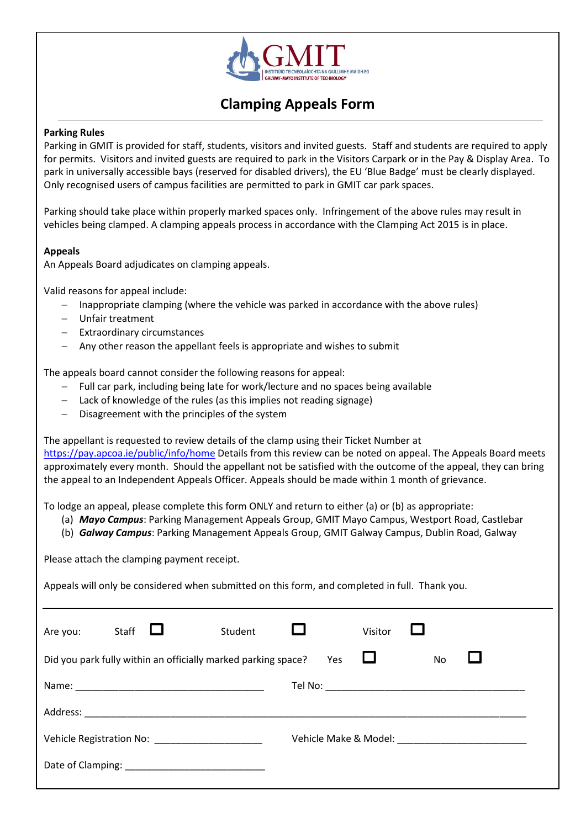

## **Clamping Appeals Form**

## **Parking Rules**

Parking in GMIT is provided for staff, students, visitors and invited guests. Staff and students are required to apply for permits. Visitors and invited guests are required to park in the Visitors Carpark or in the Pay & Display Area. To park in universally accessible bays (reserved for disabled drivers), the EU 'Blue Badge' must be clearly displayed. Only recognised users of campus facilities are permitted to park in GMIT car park spaces.

Parking should take place within properly marked spaces only. Infringement of the above rules may result in vehicles being clamped. A clamping appeals process in accordance with the Clamping Act 2015 is in place.

## **Appeals**

An Appeals Board adjudicates on clamping appeals.

Valid reasons for appeal include:

- Inappropriate clamping (where the vehicle was parked in accordance with the above rules)
- Unfair treatment
- Extraordinary circumstances
- Any other reason the appellant feels is appropriate and wishes to submit

The appeals board cannot consider the following reasons for appeal:

- Full car park, including being late for work/lecture and no spaces being available
- Lack of knowledge of the rules (as this implies not reading signage)
- Disagreement with the principles of the system

The appellant is requested to review details of the clamp using their Ticket Number at <https://pay.apcoa.ie/public/info/home> Details from this review can be noted on appeal. The Appeals Board meets approximately every month. Should the appellant not be satisfied with the outcome of the appeal, they can bring

the appeal to an Independent Appeals Officer. Appeals should be made within 1 month of grievance.

To lodge an appeal, please complete this form ONLY and return to either (a) or (b) as appropriate:

- (a) *Mayo Campus*: Parking Management Appeals Group, GMIT Mayo Campus, Westport Road, Castlebar
- (b) *Galway Campus*: Parking Management Appeals Group, GMIT Galway Campus, Dublin Road, Galway

Please attach the clamping payment receipt.

Appeals will only be considered when submitted on this form, and completed in full. Thank you.

Please use the page overleaf to record your comments for the consideration of the appeals group.

| Are you: | Staff |                                                               | Student |     | Visitor |  |     |  |
|----------|-------|---------------------------------------------------------------|---------|-----|---------|--|-----|--|
|          |       | Did you park fully within an officially marked parking space? |         | Yes |         |  | No. |  |
|          |       |                                                               |         |     |         |  |     |  |
|          |       |                                                               |         |     |         |  |     |  |
|          |       | Vehicle Registration No: Vehicle Registration No:             |         |     |         |  |     |  |
|          |       |                                                               |         |     |         |  |     |  |